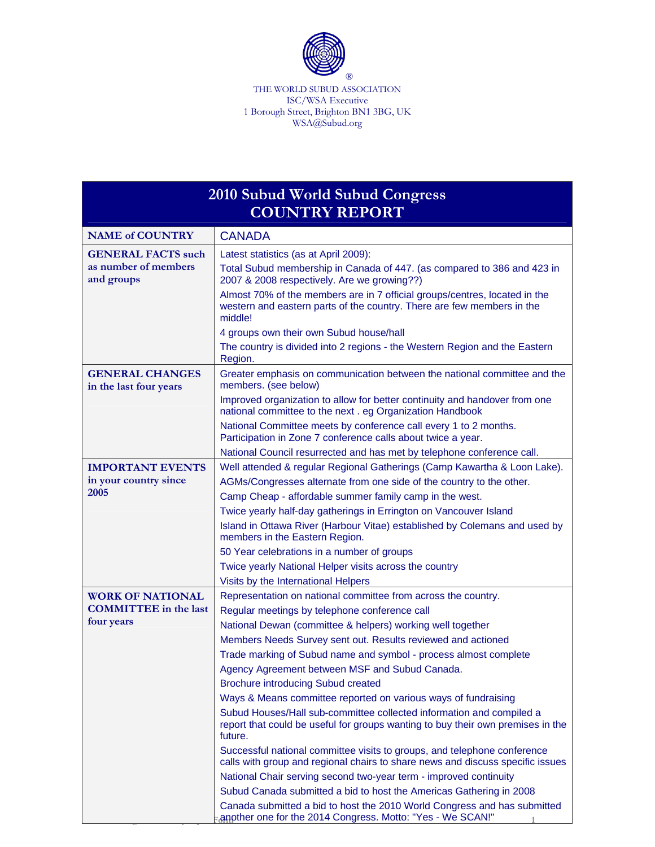

THE WORLD SUBUD ASSOCIATION ISC/WSA Executive 1 Borough Street, Brighton BN1 3BG, UK WSA@Subud.org

| <b>2010 Subud World Subud Congress</b>           |                                                                                                                                                                    |  |
|--------------------------------------------------|--------------------------------------------------------------------------------------------------------------------------------------------------------------------|--|
| <b>COUNTRY REPORT</b>                            |                                                                                                                                                                    |  |
| <b>NAME of COUNTRY</b>                           | <b>CANADA</b>                                                                                                                                                      |  |
| <b>GENERAL FACTS such</b>                        | Latest statistics (as at April 2009):                                                                                                                              |  |
| as number of members<br>and groups               | Total Subud membership in Canada of 447. (as compared to 386 and 423 in<br>2007 & 2008 respectively. Are we growing??)                                             |  |
|                                                  | Almost 70% of the members are in 7 official groups/centres, located in the<br>western and eastern parts of the country. There are few members in the<br>middle!    |  |
|                                                  | 4 groups own their own Subud house/hall                                                                                                                            |  |
|                                                  | The country is divided into 2 regions - the Western Region and the Eastern<br>Region.                                                                              |  |
| <b>GENERAL CHANGES</b><br>in the last four years | Greater emphasis on communication between the national committee and the<br>members. (see below)                                                                   |  |
|                                                  | Improved organization to allow for better continuity and handover from one<br>national committee to the next . eg Organization Handbook                            |  |
|                                                  | National Committee meets by conference call every 1 to 2 months.<br>Participation in Zone 7 conference calls about twice a year.                                   |  |
|                                                  | National Council resurrected and has met by telephone conference call.                                                                                             |  |
| <b>IMPORTANT EVENTS</b>                          | Well attended & regular Regional Gatherings (Camp Kawartha & Loon Lake).                                                                                           |  |
| in your country since                            | AGMs/Congresses alternate from one side of the country to the other.                                                                                               |  |
| 2005                                             | Camp Cheap - affordable summer family camp in the west.                                                                                                            |  |
|                                                  | Twice yearly half-day gatherings in Errington on Vancouver Island                                                                                                  |  |
|                                                  | Island in Ottawa River (Harbour Vitae) established by Colemans and used by<br>members in the Eastern Region.                                                       |  |
|                                                  | 50 Year celebrations in a number of groups                                                                                                                         |  |
|                                                  | Twice yearly National Helper visits across the country                                                                                                             |  |
|                                                  | Visits by the International Helpers                                                                                                                                |  |
| <b>WORK OF NATIONAL</b>                          | Representation on national committee from across the country.                                                                                                      |  |
| <b>COMMITTEE</b> in the last                     | Regular meetings by telephone conference call                                                                                                                      |  |
| four years                                       | National Dewan (committee & helpers) working well together                                                                                                         |  |
|                                                  | Members Needs Survey sent out. Results reviewed and actioned                                                                                                       |  |
|                                                  | Trade marking of Subud name and symbol - process almost complete                                                                                                   |  |
|                                                  | Agency Agreement between MSF and Subud Canada.                                                                                                                     |  |
|                                                  | <b>Brochure introducing Subud created</b>                                                                                                                          |  |
|                                                  | Ways & Means committee reported on various ways of fundraising                                                                                                     |  |
|                                                  | Subud Houses/Hall sub-committee collected information and compiled a<br>report that could be useful for groups wanting to buy their own premises in the<br>future. |  |
|                                                  | Successful national committee visits to groups, and telephone conference<br>calls with group and regional chairs to share news and discuss specific issues         |  |
|                                                  | National Chair serving second two-year term - improved continuity                                                                                                  |  |
|                                                  | Subud Canada submitted a bid to host the Americas Gathering in 2008                                                                                                |  |
|                                                  | Canada submitted a bid to host the 2010 World Congress and has submitted                                                                                           |  |
|                                                  | another one for the 2014 Congress. Motto: "Yes - We SCAN!"                                                                                                         |  |